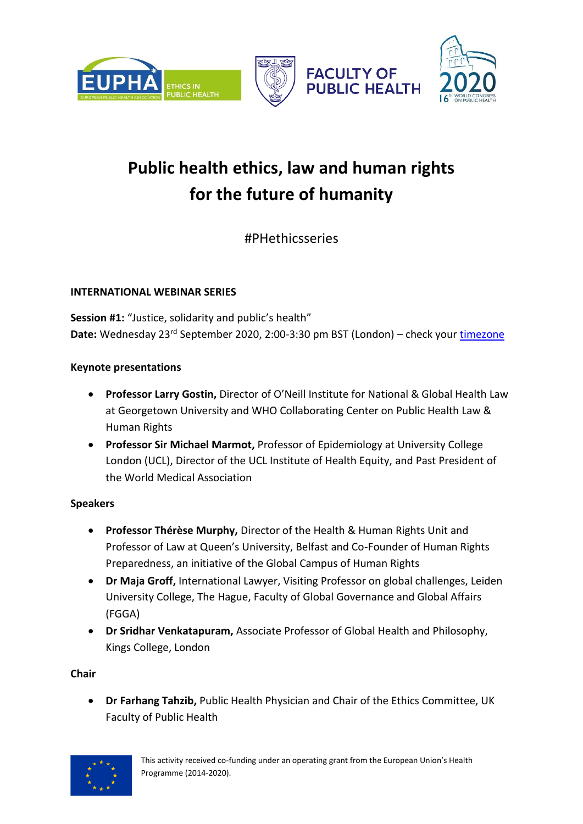



**FACULTY OF PUBLIC HEALTH** 



# **Public health ethics, law and human rights for the future of humanity**

#PHethicsseries

## **INTERNATIONAL WEBINAR SERIES**

**Session #1:** "Justice, solidarity and public's health" Date: Wednesday 23<sup>rd</sup> September 2020, 2:00-3:30 pm BST (London) – check your [timezone](https://www.timeanddate.com/worldclock/converter-classic.html)

## **Keynote presentations**

- **Professor Larry Gostin,** Director of O'Neill Institute for National & Global Health Law at Georgetown University and WHO Collaborating Center on Public Health Law & Human Rights
- **Professor Sir Michael Marmot,** Professor of Epidemiology at University College London (UCL), Director of the UCL Institute of Health Equity, and Past President of the World Medical Association

# **Speakers**

- **Professor Thérèse Murphy,** Director of the Health & Human Rights Unit and Professor of Law at Queen's University, Belfast and Co-Founder of Human Rights Preparedness, an initiative of the Global Campus of Human Rights
- **Dr Maja Groff,** International Lawyer, Visiting Professor on global challenges, Leiden University College, The Hague, Faculty of Global Governance and Global Affairs (FGGA)
- **Dr Sridhar Venkatapuram,** Associate Professor of Global Health and Philosophy, Kings College, London

**Chair**

• **Dr Farhang Tahzib,** Public Health Physician and Chair of the Ethics Committee, UK Faculty of Public Health